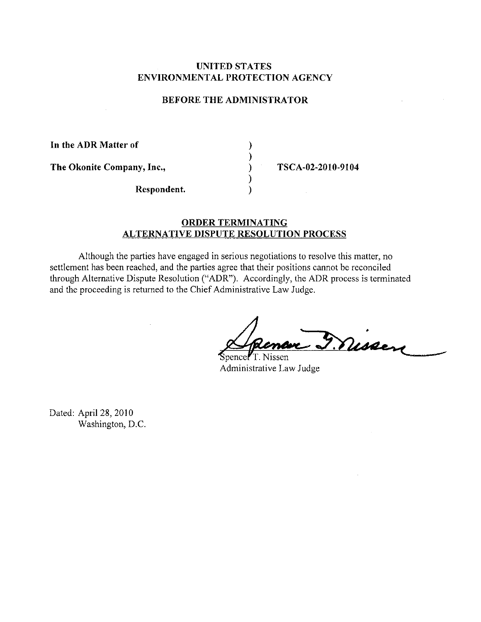## **UNITED STATES ENVIRONMENTAL PROTECTION AGENCY**

## **BEFORE THE ADMINISTRATOR**

) ) ) ) )

**In the ADR Matter of The Okonite Company, Inc., Respondent.** 

**TSCA-02-2010-9104** 

## **ORDER TERMINATING ALTERNATIVE DISPUTE RESOLUTION PROCESS**

Although the parties have engaged in serious negotiations to resolve this matter, no settlement has been reached, and the parties agree that their positions cannot be reconciled through Alternative Dispute Resolution ("ADR"). Accordingly, the ADR process is terminated and the proceeding is returned to the Chief Administrative Law Judge.

4r·;\_~.t~ .-

Spence<sup>7</sup>T. Nissen Administrative Law Judge

Dated: April 28, 2010 Washington, D.C.